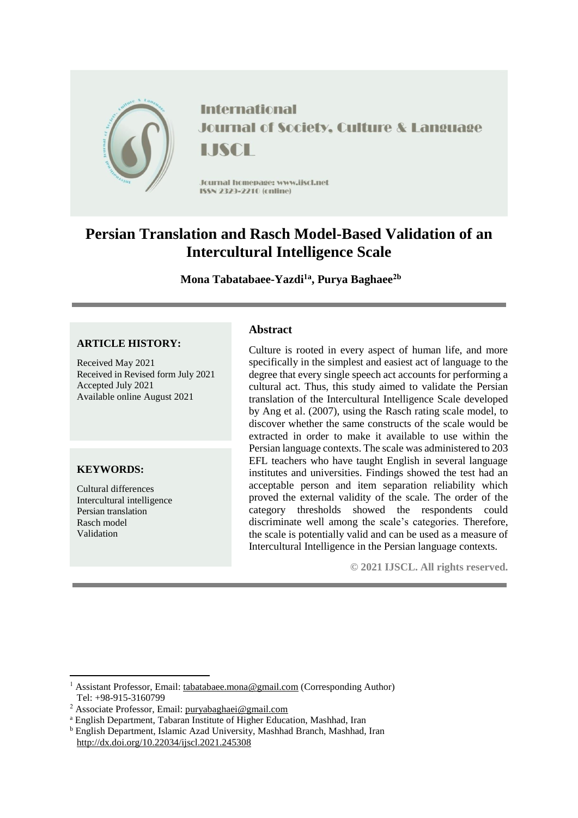

**International Journal of Society, Culture & Language** LISCE

Journal homepage: www.jiscl.net ISSN 2329-2210 (cnline)

# **Persian Translation and Rasch Model-Based Validation of an Intercultural Intelligence Scale**

**Mona Tabatabaee-Yazdi1a , Purya Baghaee2b**

#### **ARTICLE HISTORY:**

Received May 2021 Received in Revised form July 2021 Accepted July 2021 Available online August 2021

#### **KEYWORDS:**

1

Cultural differences Intercultural intelligence Persian translation Rasch model Validation

### **Abstract**

Culture is rooted in every aspect of human life, and more specifically in the simplest and easiest act of language to the degree that every single speech act accounts for performing a cultural act. Thus, this study aimed to validate the Persian translation of the Intercultural Intelligence Scale developed by Ang et al. (2007), using the Rasch rating scale model, to discover whether the same constructs of the scale would be extracted in order to make it available to use within the Persian language contexts. The scale was administered to 203 EFL teachers who have taught English in several language institutes and universities. Findings showed the test had an acceptable person and item separation reliability which proved the external validity of the scale. The order of the category thresholds showed the respondents could discriminate well among the scale's categories. Therefore, the scale is potentially valid and can be used as a measure of Intercultural Intelligence in the Persian language contexts.

**© 2021 IJSCL. All rights reserved.**

<sup>1</sup> Assistant Professor, Email: [tabatabaee.mona@gmail.com](mailto:tabatabaee.mona@gmail.com) (Corresponding Author) Tel: +98-915-3160799

<sup>2</sup> Associate Professor, Email: [puryabaghaei@gmail.com](mailto:puryabaghaei@gmail.com)

<sup>a</sup> English Department, Tabaran Institute of Higher Education, Mashhad, Iran

<sup>b</sup> English Department, Islamic Azad University, Mashhad Branch, Mashhad, Iran <http://dx.doi.org/10.22034/ijscl.2021.245308>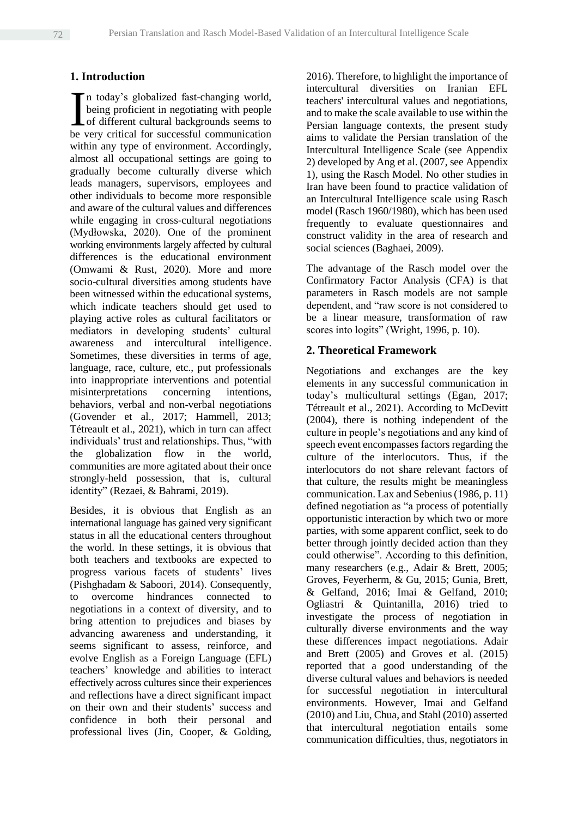## **1. Introduction**

n today's globalized fast-changing world, being proficient in negotiating with people of different cultural backgrounds seems to In today's globalized fast-changing world, being proficient in negotiating with people of different cultural backgrounds seems to be very critical for successful communication within any type of environment. Accordingly, almost all occupational settings are going to gradually become culturally diverse which leads managers, supervisors, employees and other individuals to become more responsible and aware of the cultural values and differences while engaging in cross-cultural negotiations (Mydłowska, 2020). One of the prominent working environments largely affected by cultural differences is the educational environment (Omwami & Rust, 2020). More and more socio-cultural diversities among students have been witnessed within the educational systems, which indicate teachers should get used to playing active roles as cultural facilitators or mediators in developing students' cultural awareness and intercultural intelligence. Sometimes, these diversities in terms of age, language, race, culture, etc., put professionals into inappropriate interventions and potential misinterpretations concerning intentions, behaviors, verbal and non-verbal negotiations (Govender et al., 2017; Hammell, 2013; Tétreault et al., 2021), which in turn can affect individuals' trust and relationships. Thus, "with the globalization flow in the world, communities are more agitated about their once strongly-held possession, that is, cultural identity" (Rezaei, & Bahrami, 2019).

Besides, it is obvious that English as an international language has gained very significant status in all the educational centers throughout the world. In these settings, it is obvious that both teachers and textbooks are expected to progress various facets of students' lives (Pishghadam & Saboori, 2014). Consequently, to overcome hindrances connected to negotiations in a context of diversity, and to bring attention to prejudices and biases by advancing awareness and understanding, it seems significant to assess, reinforce, and evolve English as a Foreign Language (EFL) teachers' knowledge and abilities to interact effectively across cultures since their experiences and reflections have a direct significant impact on their own and their students' success and confidence in both their personal and professional lives (Jin, Cooper, & Golding,

2016). Therefore, to highlight the importance of intercultural diversities on Iranian EFL teachers' intercultural values and negotiations, and to make the scale available to use within the Persian language contexts, the present study aims to validate the Persian translation of the Intercultural Intelligence Scale (see Appendix 2) developed by Ang et al. (2007, see Appendix 1), using the Rasch Model. No other studies in Iran have been found to practice validation of an Intercultural Intelligence scale using Rasch model (Rasch 1960/1980), which has been used frequently to evaluate questionnaires and construct validity in the area of research and social sciences (Baghaei, 2009).

The advantage of the Rasch model over the Confirmatory Factor Analysis (CFA) is that parameters in Rasch models are not sample dependent, and "raw score is not considered to be a linear measure, transformation of raw scores into logits" (Wright, 1996, p. 10).

#### **2. Theoretical Framework**

Negotiations and exchanges are the key elements in any successful communication in today's multicultural settings (Egan, 2017; Tétreault et al., 2021). According to McDevitt (2004), there is nothing independent of the culture in people's negotiations and any kind of speech event encompasses factors regarding the culture of the interlocutors. Thus, if the interlocutors do not share relevant factors of that culture, the results might be meaningless communication. Lax and Sebenius (1986, p. 11) defined negotiation as "a process of potentially opportunistic interaction by which two or more parties, with some apparent conflict, seek to do better through jointly decided action than they could otherwise". According to this definition, many researchers (e.g., Adair & Brett, 2005; Groves, Feyerherm, & Gu, 2015; Gunia, Brett, & Gelfand, 2016; Imai & Gelfand, 2010; Ogliastri & Quintanilla, 2016) tried to investigate the process of negotiation in culturally diverse environments and the way these differences impact negotiations. Adair and Brett (2005) and Groves et al. (2015) reported that a good understanding of the diverse cultural values and behaviors is needed for successful negotiation in intercultural environments. However, Imai and Gelfand (2010) and Liu, Chua, and Stahl (2010) asserted that intercultural negotiation entails some communication difficulties, thus, negotiators in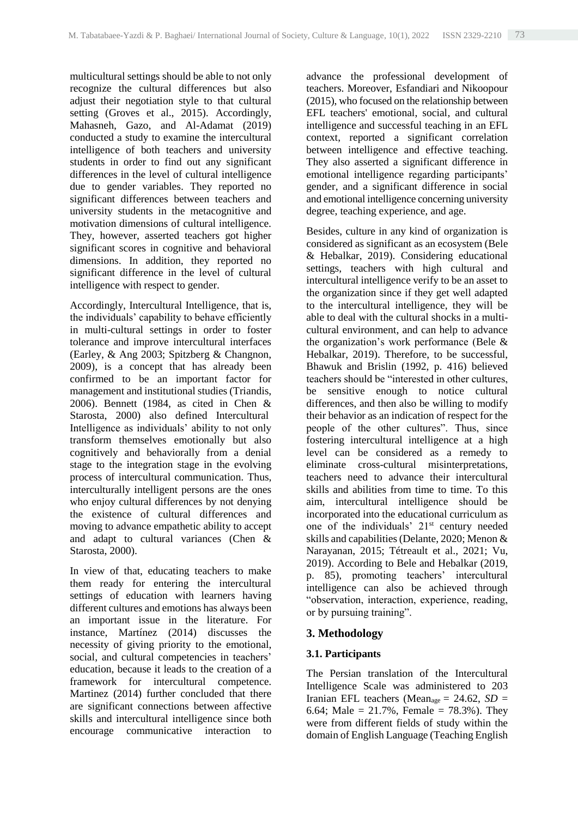multicultural settings should be able to not only recognize the cultural differences but also adjust their negotiation style to that cultural setting (Groves et al., 2015). Accordingly, Mahasneh, Gazo, and Al-Adamat (2019) conducted a study to examine the intercultural intelligence of both teachers and university students in order to find out any significant differences in the level of cultural intelligence due to gender variables. They reported no significant differences between teachers and university students in the metacognitive and motivation dimensions of cultural intelligence. They, however, asserted teachers got higher significant scores in cognitive and behavioral dimensions. In addition, they reported no significant difference in the level of cultural intelligence with respect to gender.

Accordingly, Intercultural Intelligence, that is, the individuals' capability to behave efficiently in multi-cultural settings in order to foster tolerance and improve intercultural interfaces (Earley, & Ang 2003; Spitzberg & Changnon, 2009), is a concept that has already been confirmed to be an important factor for management and institutional studies (Triandis, 2006). Bennett (1984, as cited in Chen & Starosta, 2000) also defined Intercultural Intelligence as individuals' ability to not only transform themselves emotionally but also cognitively and behaviorally from a denial stage to the integration stage in the evolving process of intercultural communication. Thus, interculturally intelligent persons are the ones who enjoy cultural differences by not denying the existence of cultural differences and moving to advance empathetic ability to accept and adapt to cultural variances (Chen & Starosta, 2000).

In view of that, educating teachers to make them ready for entering the intercultural settings of education with learners having different cultures and emotions has always been an important issue in the literature. For instance, Martínez (2014) discusses the necessity of giving priority to the emotional, social, and cultural competencies in teachers' education, because it leads to the creation of a framework for intercultural competence. Martinez (2014) further concluded that there are significant connections between affective skills and intercultural intelligence since both encourage communicative interaction to

advance the professional development of teachers. Moreover, Esfandiari and Nikoopour (2015), who focused on the relationship between EFL teachers' emotional, social, and cultural intelligence and successful teaching in an EFL context, reported a significant correlation between intelligence and effective teaching. They also asserted a significant difference in emotional intelligence regarding participants' gender, and a significant difference in social and emotional intelligence concerning university degree, teaching experience, and age.

Besides, culture in any kind of organization is considered as significant as an ecosystem (Bele & Hebalkar, 2019). Considering educational settings, teachers with high cultural and intercultural intelligence verify to be an asset to the organization since if they get well adapted to the intercultural intelligence, they will be able to deal with the cultural shocks in a multicultural environment, and can help to advance the organization's work performance (Bele & Hebalkar, 2019). Therefore, to be successful, Bhawuk and Brislin (1992, p. 416) believed teachers should be "interested in other cultures, be sensitive enough to notice cultural differences, and then also be willing to modify their behavior as an indication of respect for the people of the other cultures". Thus, since fostering intercultural intelligence at a high level can be considered as a remedy to eliminate cross-cultural misinterpretations, teachers need to advance their intercultural skills and abilities from time to time. To this aim, intercultural intelligence should be incorporated into the educational curriculum as one of the individuals'  $21<sup>st</sup>$  century needed skills and capabilities (Delante, 2020; Menon & Narayanan, 2015; Tétreault et al., 2021; Vu, 2019). According to Bele and Hebalkar (2019, p. 85), promoting teachers' intercultural intelligence can also be achieved through "observation, interaction, experience, reading, or by pursuing training".

### **3. Methodology**

### **3.1. Participants**

The Persian translation of the Intercultural Intelligence Scale was administered to 203 Iranian EFL teachers (Mean<sub>age</sub> = 24.62,  $SD =$ 6.64; Male =  $21.7\%$ , Female =  $78.3\%$ ). They were from different fields of study within the domain of English Language (Teaching English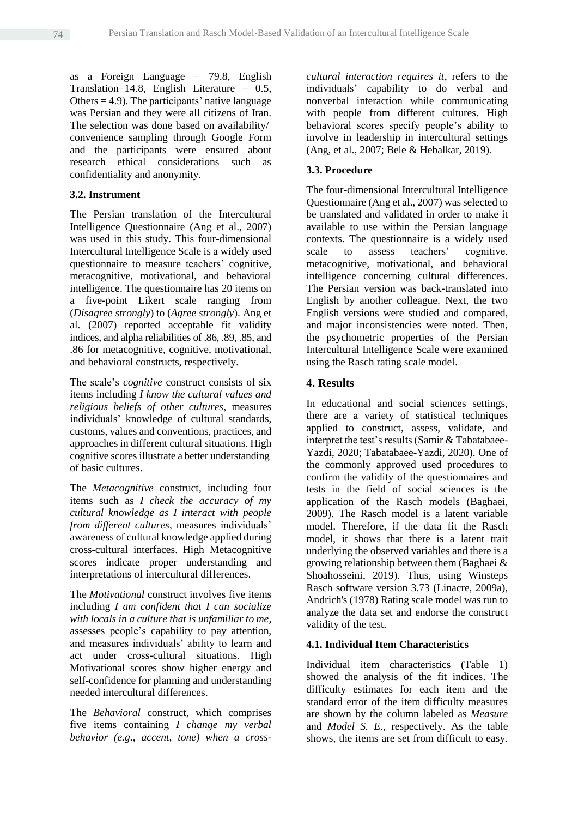as a Foreign Language  $= 79.8$ , English Translation=14.8, English Literature = 0.5, Others  $= 4.9$ ). The participants' native language was Persian and they were all citizens of Iran. The selection was done based on availability/ convenience sampling through Google Form and the participants were ensured about research ethical considerations such as confidentiality and anonymity.

#### **3.2. Instrument**

The Persian translation of the Intercultural Intelligence Questionnaire (Ang et al., 2007) was used in this study. This four-dimensional Intercultural Intelligence Scale is a widely used questionnaire to measure teachers' cognitive, metacognitive, motivational, and behavioral intelligence. The questionnaire has 20 items on a five-point Likert scale ranging from (*Disagree strongly*) to (*Agree strongly*). Ang et al. (2007) reported acceptable fit validity indices, and alpha reliabilities of .86, .89, .85, and .86 for metacognitive, cognitive, motivational, and behavioral constructs, respectively.

The scale's *cognitive* construct consists of six items including *I know the cultural values and religious beliefs of other cultures*, measures individuals' knowledge of cultural standards, customs, values and conventions, practices, and approaches in different cultural situations. High cognitive scores illustrate a better understanding of basic cultures.

The *Metacognitive* construct, including four items such as *I check the accuracy of my cultural knowledge as I interact with people from different cultures*, measures individuals' awareness of cultural knowledge applied during cross-cultural interfaces. High Metacognitive scores indicate proper understanding and interpretations of intercultural differences.

The *Motivational* construct involves five items including *I am confident that I can socialize with locals in a culture that is unfamiliar to me,*  assesses people's capability to pay attention, and measures individuals' ability to learn and act under cross-cultural situations. High Motivational scores show higher energy and self-confidence for planning and understanding needed intercultural differences.

The *Behavioral* construct, which comprises five items containing *I change my verbal behavior (e.g., accent, tone) when a cross-* *cultural interaction requires it*, refers to the individuals' capability to do verbal and nonverbal interaction while communicating with people from different cultures. High behavioral scores specify people's ability to involve in leadership in intercultural settings (Ang, et al., 2007; Bele & Hebalkar, 2019).

#### **3.3. Procedure**

The four-dimensional Intercultural Intelligence Questionnaire (Ang et al., 2007) was selected to be translated and validated in order to make it available to use within the Persian language contexts. The questionnaire is a widely used scale to assess teachers' cognitive, metacognitive, motivational, and behavioral intelligence concerning cultural differences. The Persian version was back-translated into English by another colleague. Next, the two English versions were studied and compared, and major inconsistencies were noted. Then, the psychometric properties of the Persian Intercultural Intelligence Scale were examined using the Rasch rating scale model.

#### **4. Results**

In educational and social sciences settings, there are a variety of statistical techniques applied to construct, assess, validate, and interpret the test's results (Samir & Tabatabaee-Yazdi, 2020; Tabatabaee-Yazdi, 2020). One of the commonly approved used procedures to confirm the validity of the questionnaires and tests in the field of social sciences is the application of the Rasch models (Baghaei, 2009). The Rasch model is a latent variable model. Therefore, if the data fit the Rasch model, it shows that there is a latent trait underlying the observed variables and there is a growing relationship between them (Baghaei & Shoahosseini, 2019). Thus, using Winsteps Rasch software version 3.73 (Linacre, 2009a), Andrich's (1978) Rating scale model was run to analyze the data set and endorse the construct validity of the test.

#### **4.1. Individual Item Characteristics**

Individual item characteristics (Table 1) showed the analysis of the fit indices. The difficulty estimates for each item and the standard error of the item difficulty measures are shown by the column labeled as *Measure* and *Model S. E.,* respectively. As the table shows, the items are set from difficult to easy.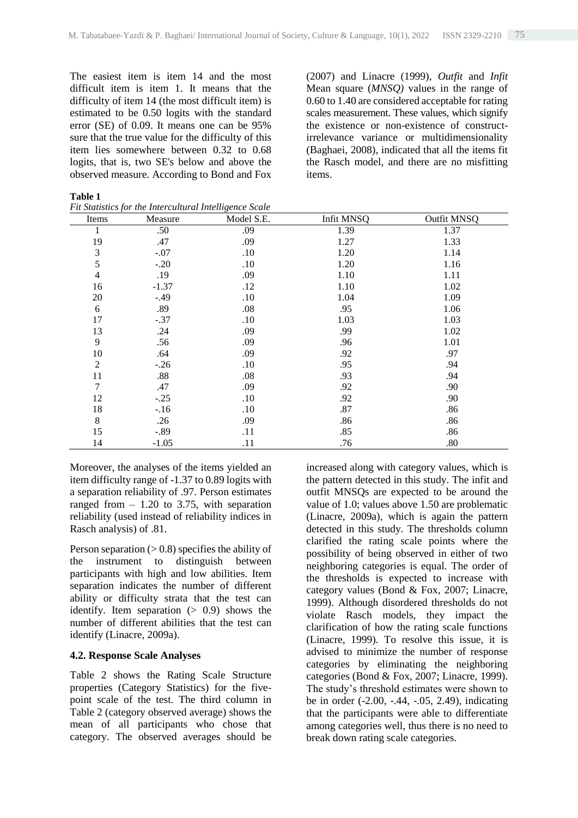The easiest item is item 14 and the most difficult item is item 1. It means that the difficulty of item 14 (the most difficult item) is estimated to be 0.50 logits with the standard error (SE) of 0.09. It means one can be 95% sure that the true value for the difficulty of this item lies somewhere between 0.32 to 0.68 logits, that is, two SE's below and above the observed measure. According to Bond and Fox (2007) and Linacre (1999), *Outfit* and *Infit* Mean square (*MNSQ)* values in the range of 0.60 to 1.40 are considered acceptable for rating scales measurement. These values, which signify the existence or non-existence of constructirrelevance variance or multidimensionality (Baghaei, 2008), indicated that all the items fit the Rasch model, and there are no misfitting items.

| D<br>I<br>ш |  |
|-------------|--|
|-------------|--|

*Fit Statistics for the Intercultural Intelligence Scale*

| Items                   | Measure | Model S.E. | Infit MNSQ | Outfit MNSQ |
|-------------------------|---------|------------|------------|-------------|
| 1                       | .50     | .09        | 1.39       | 1.37        |
| 19                      | .47     | .09        | 1.27       | 1.33        |
| $\mathfrak 3$           | $-.07$  | .10        | 1.20       | 1.14        |
| 5                       | $-.20$  | .10        | 1.20       | 1.16        |
| $\overline{\mathbf{4}}$ | .19     | .09        | 1.10       | 1.11        |
| 16                      | $-1.37$ | .12        | 1.10       | 1.02        |
| 20                      | $-.49$  | .10        | 1.04       | 1.09        |
| 6                       | .89     | .08        | .95        | 1.06        |
| 17                      | $-.37$  | .10        | 1.03       | 1.03        |
| 13                      | .24     | .09        | .99        | 1.02        |
| 9                       | .56     | .09        | .96        | 1.01        |
| 10                      | .64     | .09        | .92        | .97         |
| $\overline{2}$          | $-.26$  | .10        | .95        | .94         |
| 11                      | .88     | .08        | .93        | .94         |
| 7                       | .47     | .09        | .92        | .90         |
| 12                      | $-.25$  | .10        | .92        | .90         |
| 18                      | $-.16$  | .10        | .87        | .86         |
| $\,$ 8 $\,$             | .26     | .09        | .86        | .86         |
| 15                      | $-.89$  | .11        | .85        | .86         |
| 14                      | $-1.05$ | .11        | .76        | .80         |

Moreover, the analyses of the items yielded an item difficulty range of -1.37 to 0.89 logits with a separation reliability of .97. Person estimates ranged from  $-1.20$  to 3.75, with separation reliability (used instead of reliability indices in Rasch analysis) of .81.

Person separation  $(> 0.8)$  specifies the ability of the instrument to distinguish between participants with high and low abilities. Item separation indicates the number of different ability or difficulty strata that the test can identify. Item separation  $(> 0.9)$  shows the number of different abilities that the test can identify (Linacre, 2009a).

#### **4.2. Response Scale Analyses**

Table 2 shows the Rating Scale Structure properties (Category Statistics) for the fivepoint scale of the test. The third column in Table 2 (category observed average) shows the mean of all participants who chose that category. The observed averages should be

increased along with category values, which is the pattern detected in this study. The infit and outfit MNSQs are expected to be around the value of 1.0; values above 1.50 are problematic (Linacre, 2009a), which is again the pattern detected in this study. The thresholds column clarified the rating scale points where the possibility of being observed in either of two neighboring categories is equal. The order of the thresholds is expected to increase with category values (Bond & Fox, 2007; Linacre, 1999). Although disordered thresholds do not violate Rasch models, they impact the clarification of how the rating scale functions (Linacre, 1999). To resolve this issue, it is advised to minimize the number of response categories by eliminating the neighboring categories (Bond & Fox, 2007; Linacre, 1999). The study's threshold estimates were shown to be in order (-2.00, -.44, -.05, 2.49), indicating that the participants were able to differentiate among categories well, thus there is no need to break down rating scale categories.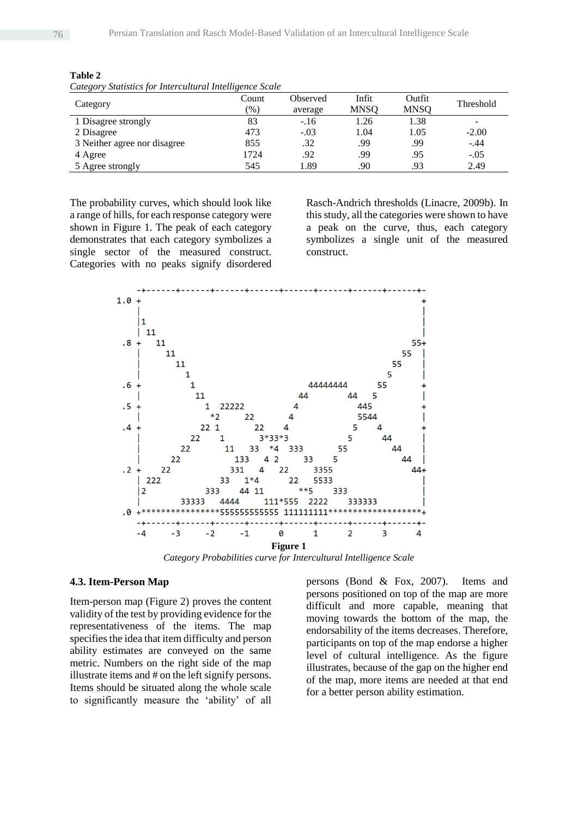| Calegory Branshes for Theoreman an Intentigence Beate<br>Category | Count         | Observed | Infit       | Outfit      | Threshold                |
|-------------------------------------------------------------------|---------------|----------|-------------|-------------|--------------------------|
|                                                                   | $\frac{9}{6}$ | average  | <b>MNSQ</b> | <b>MNSQ</b> |                          |
| 1 Disagree strongly                                               | 83            | $-.16$   | 1.26        | 1.38        | $\overline{\phantom{a}}$ |
| 2 Disagree                                                        | 473           | $-.03$   | 1.04        | 1.05        | $-2.00$                  |
| 3 Neither agree nor disagree                                      | 855           | .32      | .99         | .99         | $-.44$                   |
| 4 Agree                                                           | 1724          | .92      | .99         | .95         | $-.05$                   |
| 5 Agree strongly                                                  | 545           | 1.89     | .90         | .93         | 2.49                     |

**Table 2** *Category Statistics for Intercultural Intelligence Scale*

The probability curves, which should look like a range of hills, for each response category were shown in Figure 1. The peak of each category demonstrates that each category symbolizes a single sector of the measured construct. Categories with no peaks signify disordered

Rasch-Andrich thresholds (Linacre, 2009b). In this study, all the categories were shown to have a peak on the curve, thus, each category symbolizes a single unit of the measured construct.



*Category Probabilities curve for Intercultural Intelligence Scale*

#### **4.3. Item-Person Map**

Item-person map (Figure 2) proves the content validity of the test by providing evidence for the representativeness of the items. The map specifies the idea that item difficulty and person ability estimates are conveyed on the same metric. Numbers on the right side of the map illustrate items and # on the left signify persons. Items should be situated along the whole scale to significantly measure the 'ability' of all

persons (Bond & Fox, 2007). Items and persons positioned on top of the map are more difficult and more capable, meaning that moving towards the bottom of the map, the endorsability of the items decreases. Therefore, participants on top of the map endorse a higher level of cultural intelligence. As the figure illustrates, because of the gap on the higher end of the map, more items are needed at that end for a better person ability estimation.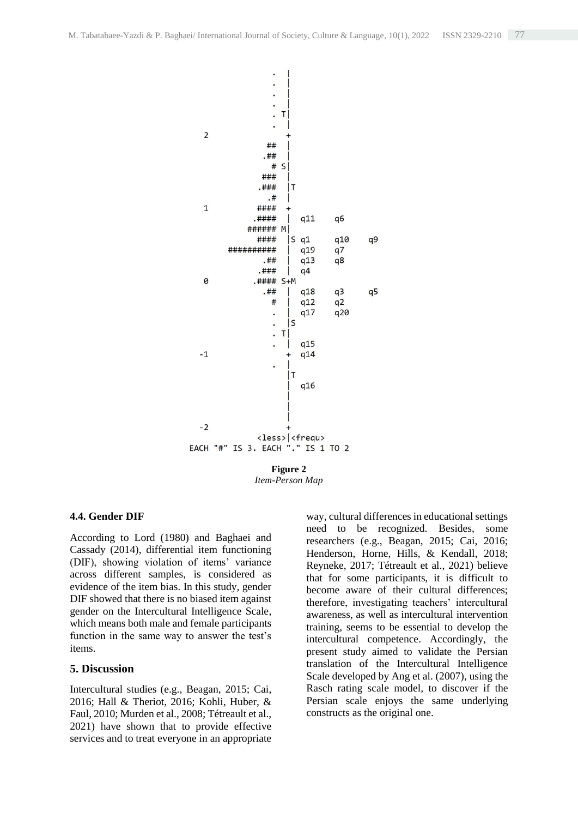

**Figure 2** *Item-Person Map*

#### **4.4. Gender DIF**

According to Lord (1980) and Baghaei and Cassady (2014), differential item functioning (DIF), showing violation of items' variance across different samples, is considered as evidence of the item bias. In this study, gender DIF showed that there is no biased item against gender on the Intercultural Intelligence Scale, which means both male and female participants function in the same way to answer the test's items.

#### **5. Discussion**

Intercultural studies (e.g., Beagan, 2015; Cai, 2016; Hall & Theriot, 2016; Kohli, Huber, & Faul, 2010; Murden et al., 2008; Tétreault et al., 2021) have shown that to provide effective services and to treat everyone in an appropriate

way, cultural differences in educational settings need to be recognized. Besides, some researchers (e.g., Beagan, 2015; Cai, 2016; Henderson, Horne, Hills, & Kendall, 2018; Reyneke, 2017; Tétreault et al., 2021) believe that for some participants, it is difficult to become aware of their cultural differences; therefore, investigating teachers' intercultural awareness, as well as intercultural intervention training, seems to be essential to develop the intercultural competence. Accordingly, the present study aimed to validate the Persian translation of the Intercultural Intelligence Scale developed by Ang et al. (2007), using the Rasch rating scale model, to discover if the Persian scale enjoys the same underlying constructs as the original one.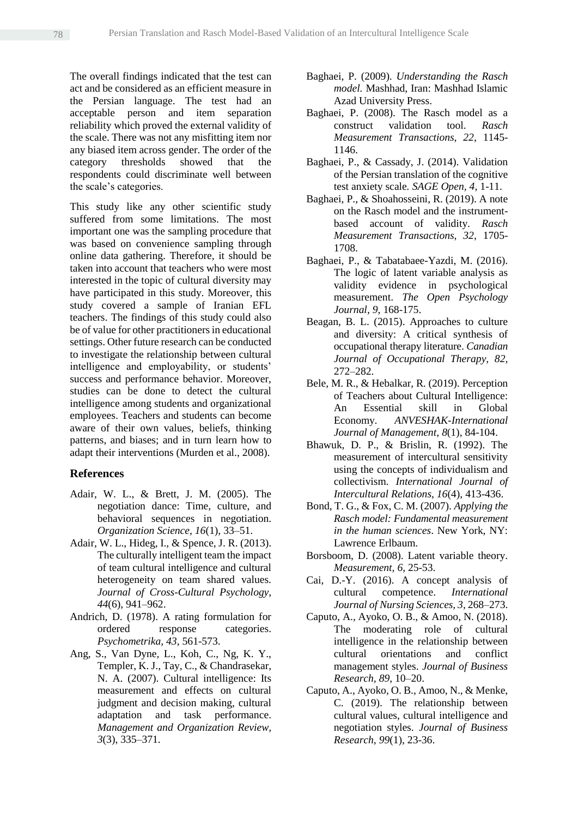The overall findings indicated that the test can act and be considered as an efficient measure in the Persian language. The test had an acceptable person and item separation reliability which proved the external validity of the scale. There was not any misfitting item nor any biased item across gender. The order of the category thresholds showed that the respondents could discriminate well between the scale's categories.

This study like any other scientific study suffered from some limitations. The most important one was the sampling procedure that was based on convenience sampling through online data gathering. Therefore, it should be taken into account that teachers who were most interested in the topic of cultural diversity may have participated in this study. Moreover, this study covered a sample of Iranian EFL teachers. The findings of this study could also be of value for other practitioners in educational settings. Other future research can be conducted to investigate the relationship between cultural intelligence and employability, or students' success and performance behavior. Moreover, studies can be done to detect the cultural intelligence among students and organizational employees. Teachers and students can become aware of their own values, beliefs, thinking patterns, and biases; and in turn learn how to adapt their interventions (Murden et al., 2008).

#### **References**

- Adair, W. L., & Brett, J. M. (2005). The negotiation dance: Time, culture, and behavioral sequences in negotiation. *Organization Science, 16*(1), 33–51.
- Adair, W. L., Hideg, I., & Spence, J. R. (2013). The culturally intelligent team the impact of team cultural intelligence and cultural heterogeneity on team shared values. *Journal of Cross-Cultural Psychology, 44*(6), 941–962.
- Andrich, D. (1978). A rating formulation for ordered response categories. *Psychometrika, 43*, 561-573.
- Ang, S., Van Dyne, L., Koh, C., Ng, K. Y., Templer, K. J., Tay, C., & Chandrasekar, N. A. (2007). Cultural intelligence: Its measurement and effects on cultural judgment and decision making, cultural adaptation and task performance. *Management and Organization Review, 3*(3), 335–371.
- Baghaei, P. (2009). *Understanding the Rasch model.* Mashhad, Iran: Mashhad Islamic Azad University Press.
- Baghaei, P. (2008). The Rasch model as a construct validation tool. *Rasch Measurement Transactions, 22*, 1145- 1146.
- Baghaei, P., & Cassady, J. (2014). Validation of the Persian translation of the cognitive test anxiety scale*. SAGE Open, 4*, 1-11.
- Baghaei, P., & Shoahosseini, R. (2019). A note on the Rasch model and the instrumentbased account of validity. *Rasch Measurement Transactions, 32*, 1705- 1708.
- Baghaei, P., & Tabatabaee-Yazdi, M. (2016). The logic of latent variable analysis as validity evidence in psychological measurement. *The Open Psychology Journal, 9*, 168-175.
- Beagan, B. L. (2015). Approaches to culture and diversity: A critical synthesis of occupational therapy literature. *Canadian Journal of Occupational Therapy, 82,* 272–282.
- Bele, M. R., & Hebalkar, R. (2019). Perception of Teachers about Cultural Intelligence: An Essential skill in Global Economy. *ANVESHAK-International Journal of Management*, *8*(1), 84-104.
- Bhawuk, D. P., & Brislin, R. (1992). The measurement of intercultural sensitivity using the concepts of individualism and collectivism. *International Journal of Intercultural Relations*, *16*(4), 413-436.
- Bond, T. G., & Fox, C. M. (2007). *Applying the Rasch model: Fundamental measurement in the human sciences*. New York, NY: Lawrence Erlbaum.
- Borsboom, D. (2008). Latent variable theory. *Measurement, 6*, 25-53.
- Cai, D.-Y. (2016). A concept analysis of cultural competence. *International Journal of Nursing Sciences, 3*, 268–273.
- Caputo, A., Ayoko, O. B., & Amoo, N. (2018). The moderating role of cultural intelligence in the relationship between cultural orientations and conflict management styles. *Journal of Business Research, 89*, 10–20.
- Caputo, A., Ayoko, O. B., Amoo, N., & Menke, C. (2019). The relationship between cultural values, cultural intelligence and negotiation styles. *Journal of Business Research*, *99*(1), 23-36.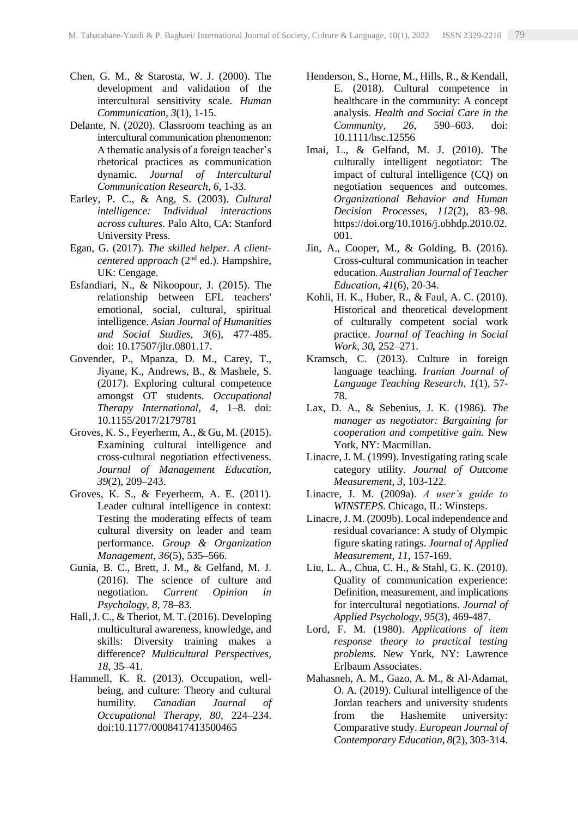- Chen, G. M., & Starosta, W. J. (2000). The development and validation of the intercultural sensitivity scale. *Human Communication, 3*(1), 1-15.
- Delante, N. (2020). Classroom teaching as an intercultural communication phenomenon: A thematic analysis of a foreign teacher's rhetorical practices as communication dynamic. *Journal of Intercultural Communication Research*, *6,* 1-33.
- Earley, P. C., & Ang, S. (2003). *Cultural intelligence: Individual interactions across cultures*. Palo Alto, CA: Stanford University Press.
- Egan, G. (2017). *The skilled helper. A clientcentered approach* (2<sup>nd</sup> ed.). Hampshire, UK: Cengage.
- Esfandiari, N., & Nikoopour, J. (2015). The relationship between EFL teachers' emotional, social, cultural, spiritual intelligence. *Asian Journal of Humanities and Social Studies, 3*(6), 477-485. doi: [10.17507/jltr.0801.17.](https://www.researchgate.net/deref/http%3A%2F%2Fdx.doi.org%2F10.17507%2Fjltr.0801.17)
- Govender, P., Mpanza, D. M., Carey, T., Jiyane, K., Andrews, B., & Mashele, S. (2017). Exploring cultural competence amongst OT students. *Occupational Therapy International, 4*, 1–8. doi: 10.1155/2017/2179781
- Groves, K. S., Feyerherm, A., & Gu, M. (2015). Examining cultural intelligence and cross-cultural negotiation effectiveness. *Journal of Management Education, 39*(2), 209–243.
- Groves, K. S., & Feyerherm, A. E. (2011). Leader cultural intelligence in context: Testing the moderating effects of team cultural diversity on leader and team performance. *Group & Organization Management, 36*(5), 535–566.
- Gunia, B. C., Brett, J. M., & Gelfand, M. J. (2016). The science of culture and negotiation. *Current Opinion in Psychology, 8,* 78–83.
- Hall, J. C., & Theriot, M. T. (2016). Developing multicultural awareness, knowledge, and skills: Diversity training makes a difference? *Multicultural Perspectives, 18*, 35–41.
- Hammell, K. R. (2013). Occupation, wellbeing, and culture: Theory and cultural humility. *Canadian Journal of Occupational Therapy, 80*, 224–234. doi:10.1177/0008417413500465
- Henderson, S., Horne, M., Hills, R., & Kendall, E. (2018). Cultural competence in healthcare in the community: A concept analysis. *Health and Social Care in the Community, 26*, 590–603. doi: 10.1111/hsc.12556
- Imai, L., & Gelfand, M. J. (2010). The culturally intelligent negotiator: The impact of cultural intelligence (CQ) on negotiation sequences and outcomes. *Organizational Behavior and Human Decision Processes, 112*(2), 83–98. https://doi.org/10.1016/j.obhdp.2010.02. 001.
- Jin, A., Cooper, M., & Golding, B. (2016). Cross-cultural communication in teacher education. *Australian Journal of Teacher Education*, *41*(6), 20-34.
- Kohli, H. K., Huber, R., & Faul, A. C. (2010). Historical and theoretical development of culturally competent social work practice. *Journal of Teaching in Social Work, 30,* 252–271.
- Kramsch, C. (2013). Culture in foreign language teaching. *Iranian Journal of Language Teaching Research*, *1*(1), 57- 78.
- Lax, D. A., & Sebenius, J. K. (1986). *The manager as negotiator: Bargaining for cooperation and competitive gain.* New York, NY: Macmillan.
- Linacre, J. M. (1999). Investigating rating scale category utility. *Journal of Outcome Measurement*, *3*, 103-122.
- Linacre, J. M. (2009a). *A user's guide to WINSTEPS*. Chicago, IL: Winsteps.
- Linacre, J. M. (2009b). Local independence and residual covariance: A study of Olympic figure skating ratings. *Journal of Applied Measurement, 11*, 157-169.
- Liu, L. A., Chua, C. H., & Stahl, G. K. (2010). Quality of communication experience: Definition, measurement, and implications for intercultural negotiations. *Journal of Applied Psychology, 95*(3), 469-487.
- Lord, F. M. (1980). *Applications of item response theory to practical testing problems.* New York, NY: Lawrence Erlbaum Associates.
- Mahasneh, A. M., Gazo, A. M., & Al-Adamat, O. A. (2019). Cultural intelligence of the Jordan teachers and university students from the Hashemite university: Comparative study. *European Journal of Contemporary Education*, *8*(2), 303-314.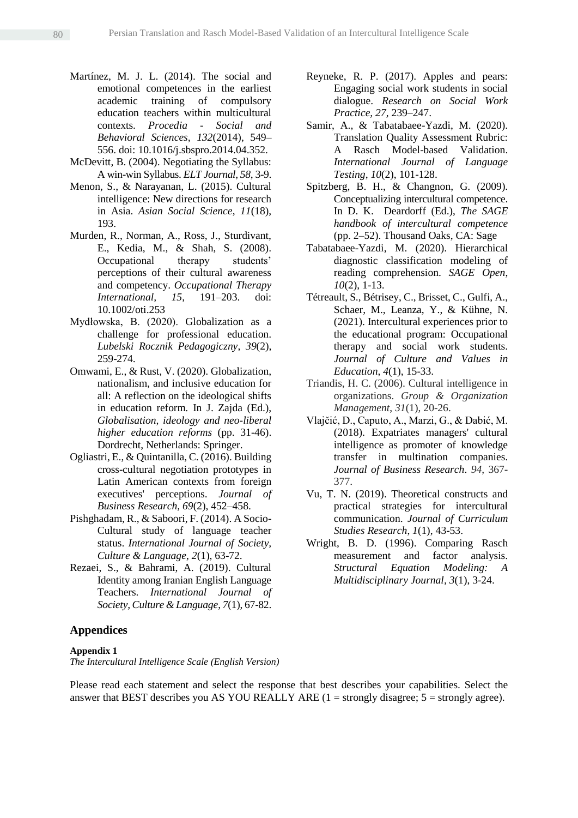- Martínez, M. J. L. (2014). The social and emotional competences in the earliest academic training of compulsory education teachers within multicultural contexts. *Procedia - Social and Behavioral Sciences, 132*(2014), 549– 556. doi: 10.1016/j.sbspro.2014.04.352.
- McDevitt, B. (2004). Negotiating the Syllabus: A win-win Syllabus. *ELT Journal*, *58*, 3-9.
- Menon, S., & Narayanan, L. (2015). Cultural intelligence: New directions for research in Asia. *Asian Social Science*, *11*(18), 193.
- Murden, R., Norman, A., Ross, J., Sturdivant, E., Kedia, M., & Shah, S. (2008). Occupational therapy students' perceptions of their cultural awareness and competency. *Occupational Therapy International, 15*, 191–203. doi: 10.1002/oti.253
- Mydłowska, B. (2020). Globalization as a challenge for professional education. *Lubelski Rocznik Pedagogiczny*, *39*(2), 259-274.
- Omwami, E., & Rust, V. (2020). Globalization, nationalism, and inclusive education for all: A reflection on the ideological shifts in education reform. In J. Zajda (Ed.), *Globalisation, ideology and neo-liberal higher education reforms* (pp. 31-46). Dordrecht, Netherlands: Springer.
- Ogliastri, E., & Quintanilla, C. (2016). Building cross-cultural negotiation prototypes in Latin American contexts from foreign executives' perceptions. *Journal of Business Research, 69*(2), 452–458.
- Pishghadam, R., & Saboori, F. (2014). A Socio-Cultural study of language teacher status. *International Journal of Society, Culture & Language*, *2*(1), 63-72.
- Rezaei, S., & Bahrami, A. (2019). Cultural Identity among Iranian English Language Teachers. *International Journal of Society, Culture & Language*, *7*(1), 67-82.

#### **Appendices**

#### **Appendix 1**

*The Intercultural Intelligence Scale (English Version)*

- Reyneke, R. P. (2017). Apples and pears: Engaging social work students in social dialogue. *Research on Social Work Practice, 27*, 239–247.
- Samir, A., & Tabatabaee-Yazdi, M. (2020). Translation Quality Assessment Rubric: A Rasch Model-based Validation. *International Journal of Language Testing*, *10*(2), 101-128.
- Spitzberg, B. H., & Changnon, G. (2009). Conceptualizing intercultural competence. In D. K. Deardorff (Ed.), *The SAGE handbook of intercultural competence* (pp. 2–52). Thousand Oaks, CA: Sage
- Tabatabaee-Yazdi, M. (2020). Hierarchical diagnostic classification modeling of reading comprehension. *SAGE Open*, *10*(2), 1-13.
- Tétreault, S., Bétrisey, C., Brisset, C., Gulfi, A., Schaer, M., Leanza, Y., & Kühne, N. (2021). Intercultural experiences prior to the educational program: Occupational therapy and social work students. *Journal of Culture and Values in Education*, *4*(1), 15-33.
- Triandis, H. C. (2006). Cultural intelligence in organizations. *Group & Organization Management*, *31*(1), 20-26.
- Vlajčić, D., Caputo, A., Marzi, G., & Dabić, M. (2018). Expatriates managers' cultural intelligence as promoter of knowledge transfer in multination companies. *Journal of Business Research*. *94*, 367- 377.
- Vu, T. N. (2019). Theoretical constructs and practical strategies for intercultural communication. *Journal of Curriculum Studies Research*, *1*(1), 43-53.
- Wright, B. D. (1996). Comparing Rasch measurement and factor analysis. *Structural Equation Modeling: A Multidisciplinary Journal, 3*(1), 3-24.

Please read each statement and select the response that best describes your capabilities. Select the answer that BEST describes you AS YOU REALLY ARE  $(1 = \text{strongly disagree}; 5 = \text{strongly agree}).$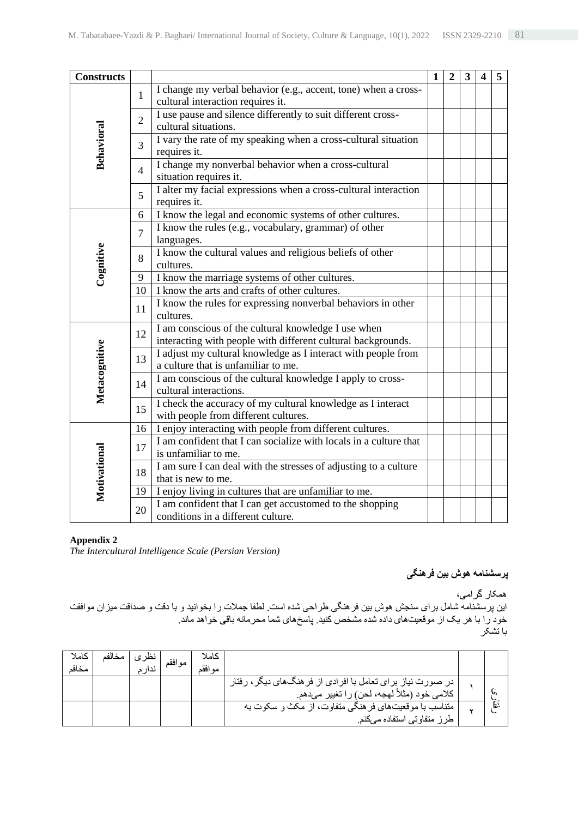| <b>Constructs</b> |                |                                                                                      | $\mathbf{1}$ | $\overline{2}$ | 3 | 4 | 5 |
|-------------------|----------------|--------------------------------------------------------------------------------------|--------------|----------------|---|---|---|
|                   | $\mathbf{1}$   | I change my verbal behavior (e.g., accent, tone) when a cross-                       |              |                |   |   |   |
|                   |                | cultural interaction requires it.                                                    |              |                |   |   |   |
|                   | $\overline{2}$ | I use pause and silence differently to suit different cross-<br>cultural situations. |              |                |   |   |   |
|                   |                | I vary the rate of my speaking when a cross-cultural situation                       |              |                |   |   |   |
| <b>Behavioral</b> | $\overline{3}$ | requires it.                                                                         |              |                |   |   |   |
|                   | $\overline{4}$ | I change my nonverbal behavior when a cross-cultural                                 |              |                |   |   |   |
|                   |                | situation requires it.                                                               |              |                |   |   |   |
|                   | 5              | I alter my facial expressions when a cross-cultural interaction<br>requires it.      |              |                |   |   |   |
|                   | 6              | I know the legal and economic systems of other cultures.                             |              |                |   |   |   |
|                   | $\overline{7}$ | I know the rules (e.g., vocabulary, grammar) of other<br>languages.                  |              |                |   |   |   |
| Cognitive         | 8              | I know the cultural values and religious beliefs of other                            |              |                |   |   |   |
|                   |                | cultures.                                                                            |              |                |   |   |   |
|                   | 9              | I know the marriage systems of other cultures.                                       |              |                |   |   |   |
|                   | 10             | I know the arts and crafts of other cultures.                                        |              |                |   |   |   |
|                   | 11             | I know the rules for expressing nonverbal behaviors in other<br>cultures.            |              |                |   |   |   |
|                   | 12             | I am conscious of the cultural knowledge I use when                                  |              |                |   |   |   |
|                   |                | interacting with people with different cultural backgrounds.                         |              |                |   |   |   |
|                   | 13             | I adjust my cultural knowledge as I interact with people from                        |              |                |   |   |   |
|                   |                | a culture that is unfamiliar to me.                                                  |              |                |   |   |   |
| Metacognitive     | 14             | I am conscious of the cultural knowledge I apply to cross-<br>cultural interactions. |              |                |   |   |   |
|                   |                | I check the accuracy of my cultural knowledge as I interact                          |              |                |   |   |   |
|                   | 15             | with people from different cultures.                                                 |              |                |   |   |   |
|                   | 16             | I enjoy interacting with people from different cultures.                             |              |                |   |   |   |
|                   |                | I am confident that I can socialize with locals in a culture that                    |              |                |   |   |   |
|                   | 17             | is unfamiliar to me.                                                                 |              |                |   |   |   |
|                   | 18             | I am sure I can deal with the stresses of adjusting to a culture                     |              |                |   |   |   |
|                   |                | that is new to me.                                                                   |              |                |   |   |   |
| Motivational      | 19             | I enjoy living in cultures that are unfamiliar to me.                                |              |                |   |   |   |
|                   | 20             | I am confident that I can get accustomed to the shopping                             |              |                |   |   |   |
|                   |                | conditions in a different culture.                                                   |              |                |   |   |   |

#### **Appendix 2**

*The Intercultural Intelligence Scale (Persian Version)*

# **پرسشنامه هوش بین فرهنگی**

همکار گرامی،

این پرسشنامه شامل برای سنجش هوش بین فرهنگی طراحی شده است. لطفا جمالت را بخوانید و با دقت و صداقت میزان موافقت خود را با هر یک از موقعیتهای داده شده مشخص كنید. پاسخهای شما محرمانه باقی خواهد ماند. با تشکر

| كاملا<br>مخافد | مخالفه | نظر ۽ | موافقم | كاملا<br>مه افقد |                                                                                                              |    |
|----------------|--------|-------|--------|------------------|--------------------------------------------------------------------------------------------------------------|----|
|                |        |       |        |                  | در صورت نیاز بر ای تعامل با افرادی از فر هنگ های دیگر ، رفتار<br>كلامي خود (مثلاً لهجه، لحن) را تغيير ميدهم. | w  |
|                |        |       |        |                  | متناسب با موقعیتهای فرهنگی متفاوت، از مکث و سکوت به<br>طرز متفاوتي استفاده ميكنم                             | :ط |